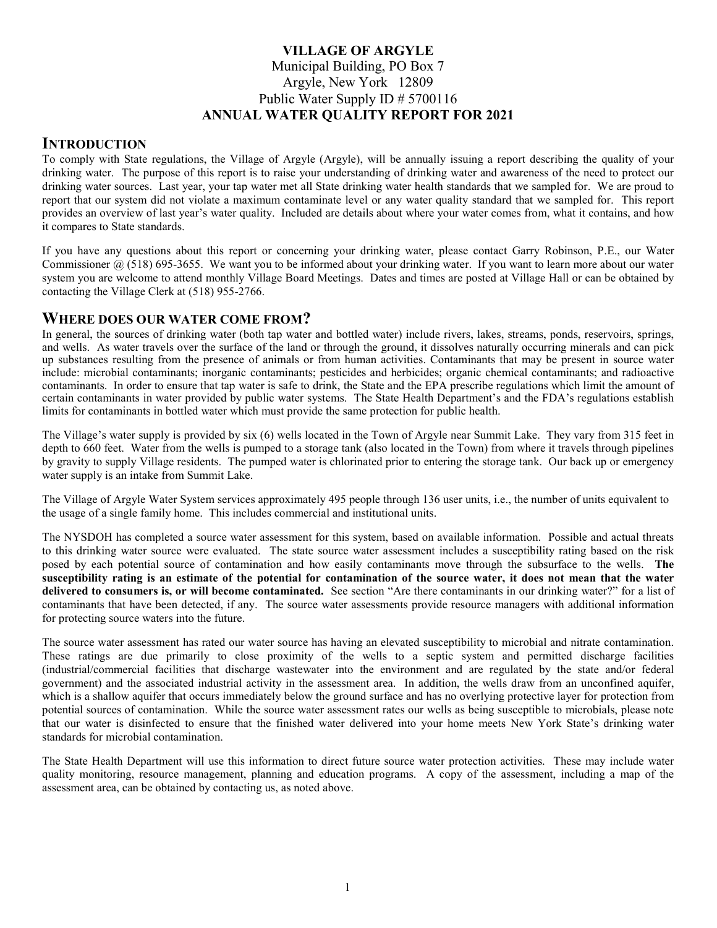# VILLAGE OF ARGYLE Municipal Building, PO Box 7 Argyle, New York 12809 Public Water Supply ID # 5700116 ANNUAL WATER QUALITY REPORT FOR 2021

# **INTRODUCTION**

To comply with State regulations, the Village of Argyle (Argyle), will be annually issuing a report describing the quality of your drinking water. The purpose of this report is to raise your understanding of drinking water and awareness of the need to protect our drinking water sources. Last year, your tap water met all State drinking water health standards that we sampled for. We are proud to report that our system did not violate a maximum contaminate level or any water quality standard that we sampled for. This report provides an overview of last year's water quality. Included are details about where your water comes from, what it contains, and how it compares to State standards.

If you have any questions about this report or concerning your drinking water, please contact Garry Robinson, P.E., our Water Commissioner  $(a)$  (518) 695-3655. We want you to be informed about your drinking water. If you want to learn more about our water system you are welcome to attend monthly Village Board Meetings. Dates and times are posted at Village Hall or can be obtained by contacting the Village Clerk at (518) 955-2766.

## WHERE DOES OUR WATER COME FROM?

In general, the sources of drinking water (both tap water and bottled water) include rivers, lakes, streams, ponds, reservoirs, springs, and wells. As water travels over the surface of the land or through the ground, it dissolves naturally occurring minerals and can pick up substances resulting from the presence of animals or from human activities. Contaminants that may be present in source water include: microbial contaminants; inorganic contaminants; pesticides and herbicides; organic chemical contaminants; and radioactive contaminants. In order to ensure that tap water is safe to drink, the State and the EPA prescribe regulations which limit the amount of certain contaminants in water provided by public water systems. The State Health Department's and the FDA's regulations establish limits for contaminants in bottled water which must provide the same protection for public health.

The Village's water supply is provided by six (6) wells located in the Town of Argyle near Summit Lake. They vary from 315 feet in depth to 660 feet. Water from the wells is pumped to a storage tank (also located in the Town) from where it travels through pipelines by gravity to supply Village residents. The pumped water is chlorinated prior to entering the storage tank. Our back up or emergency water supply is an intake from Summit Lake.

The Village of Argyle Water System services approximately 495 people through 136 user units, i.e., the number of units equivalent to the usage of a single family home. This includes commercial and institutional units.

The NYSDOH has completed a source water assessment for this system, based on available information. Possible and actual threats to this drinking water source were evaluated. The state source water assessment includes a susceptibility rating based on the risk posed by each potential source of contamination and how easily contaminants move through the subsurface to the wells. The susceptibility rating is an estimate of the potential for contamination of the source water, it does not mean that the water delivered to consumers is, or will become contaminated. See section "Are there contaminants in our drinking water?" for a list of contaminants that have been detected, if any. The source water assessments provide resource managers with additional information for protecting source waters into the future.

The source water assessment has rated our water source has having an elevated susceptibility to microbial and nitrate contamination. These ratings are due primarily to close proximity of the wells to a septic system and permitted discharge facilities (industrial/commercial facilities that discharge wastewater into the environment and are regulated by the state and/or federal government) and the associated industrial activity in the assessment area. In addition, the wells draw from an unconfined aquifer, which is a shallow aquifer that occurs immediately below the ground surface and has no overlying protective layer for protection from potential sources of contamination. While the source water assessment rates our wells as being susceptible to microbials, please note that our water is disinfected to ensure that the finished water delivered into your home meets New York State's drinking water standards for microbial contamination.

The State Health Department will use this information to direct future source water protection activities. These may include water quality monitoring, resource management, planning and education programs. A copy of the assessment, including a map of the assessment area, can be obtained by contacting us, as noted above.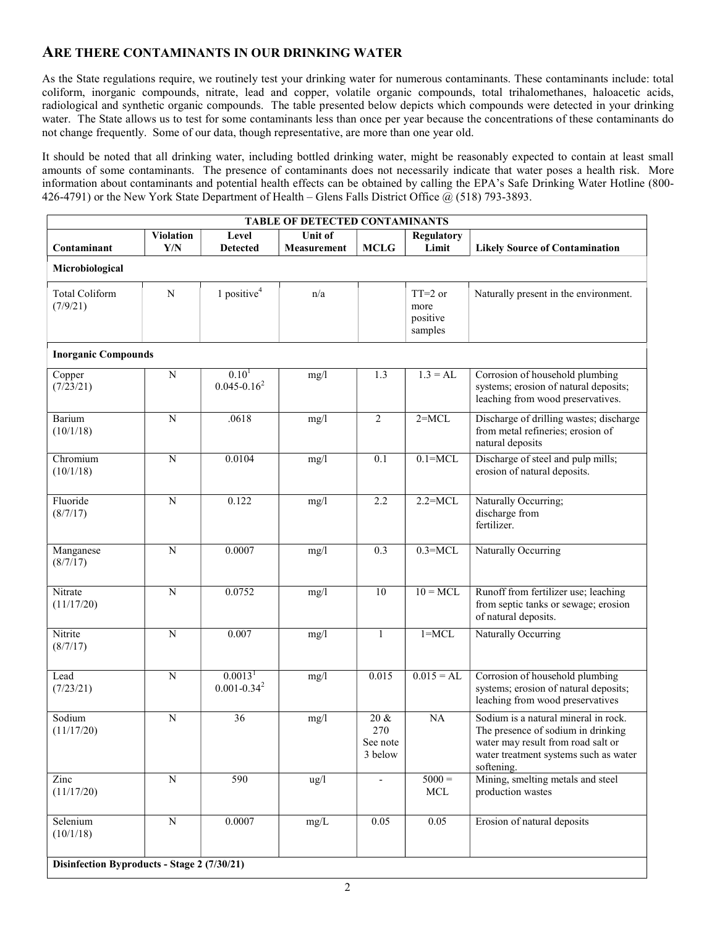# ARE THERE CONTAMINANTS IN OUR DRINKING WATER

As the State regulations require, we routinely test your drinking water for numerous contaminants. These contaminants include: total coliform, inorganic compounds, nitrate, lead and copper, volatile organic compounds, total trihalomethanes, haloacetic acids, radiological and synthetic organic compounds. The table presented below depicts which compounds were detected in your drinking water. The State allows us to test for some contaminants less than once per year because the concentrations of these contaminants do not change frequently. Some of our data, though representative, are more than one year old.

It should be noted that all drinking water, including bottled drinking water, might be reasonably expected to contain at least small amounts of some contaminants. The presence of contaminants does not necessarily indicate that water poses a health risk. More information about contaminants and potential health effects can be obtained by calling the EPA's Safe Drinking Water Hotline (800- 426-4791) or the New York State Department of Health – Glens Falls District Office @ (518) 793-3893.

| <b>TABLE OF DETECTED CONTAMINANTS</b>       |                         |                                         |                                      |                                       |                                          |                                                                                                                                                                         |  |  |  |  |
|---------------------------------------------|-------------------------|-----------------------------------------|--------------------------------------|---------------------------------------|------------------------------------------|-------------------------------------------------------------------------------------------------------------------------------------------------------------------------|--|--|--|--|
| Contaminant                                 | <b>Violation</b><br>Y/N | Level<br><b>Detected</b>                | <b>Unit of</b><br><b>Measurement</b> | <b>MCLG</b>                           | <b>Regulatory</b><br>Limit               | <b>Likely Source of Contamination</b>                                                                                                                                   |  |  |  |  |
| Microbiological                             |                         |                                         |                                      |                                       |                                          |                                                                                                                                                                         |  |  |  |  |
| <b>Total Coliform</b><br>(7/9/21)           | N                       | 1 positive <sup>4</sup>                 | n/a                                  |                                       | $TT=2$ or<br>more<br>positive<br>samples | Naturally present in the environment.                                                                                                                                   |  |  |  |  |
| <b>Inorganic Compounds</b>                  |                         |                                         |                                      |                                       |                                          |                                                                                                                                                                         |  |  |  |  |
| Copper<br>(7/23/21)                         | N                       | 0.10 <sup>1</sup><br>$0.045 - 0.16^2$   | mg/1                                 | 1.3                                   | $1.3 = AL$                               | Corrosion of household plumbing<br>systems; erosion of natural deposits;<br>leaching from wood preservatives.                                                           |  |  |  |  |
| Barium<br>(10/1/18)                         | $\mathbf N$             | .0618                                   | mg/1                                 | $\overline{2}$                        | $2 = MCL$                                | Discharge of drilling wastes; discharge<br>from metal refineries; erosion of<br>natural deposits                                                                        |  |  |  |  |
| Chromium<br>(10/1/18)                       | $\mathbf N$             | 0.0104                                  | mg/1                                 | 0.1                                   | $0.1 = MCL$                              | Discharge of steel and pulp mills;<br>erosion of natural deposits.                                                                                                      |  |  |  |  |
| Fluoride<br>(8/7/17)                        | N                       | 0.122                                   | mg/1                                 | 2.2                                   | $2.2 = MCL$                              | Naturally Occurring;<br>discharge from<br>fertilizer.                                                                                                                   |  |  |  |  |
| Manganese<br>(8/7/17)                       | $\mathbf N$             | 0.0007                                  | mg/l                                 | 0.3                                   | $0.3 = MCL$                              | Naturally Occurring                                                                                                                                                     |  |  |  |  |
| Nitrate<br>(11/17/20)                       | $\mathbf N$             | 0.0752                                  | mg/1                                 | 10                                    | $10 = MCL$                               | Runoff from fertilizer use; leaching<br>from septic tanks or sewage; erosion<br>of natural deposits.                                                                    |  |  |  |  |
| Nitrite<br>(8/7/17)                         | ${\bf N}$               | 0.007                                   | mg/1                                 | $\mathbf{1}$                          | $1 = MCL$                                | Naturally Occurring                                                                                                                                                     |  |  |  |  |
| Lead<br>(7/23/21)                           | ${\bf N}$               | 0.0013 <sup>1</sup><br>$0.001 - 0.34^2$ | mg/1                                 | 0.015                                 | $0.015 = AL$                             | Corrosion of household plumbing<br>systems; erosion of natural deposits;<br>leaching from wood preservatives                                                            |  |  |  |  |
| Sodium<br>(11/17/20)                        | N                       | 36                                      | mg/l                                 | $20 \&$<br>270<br>See note<br>3 below | <b>NA</b>                                | Sodium is a natural mineral in rock.<br>The presence of sodium in drinking<br>water may result from road salt or<br>water treatment systems such as water<br>softening. |  |  |  |  |
| Zinc<br>(11/17/20)                          | $\overline{N}$          | 590                                     | ug/l                                 | $\overline{\phantom{a}}$              | $5000 =$<br>$\operatorname{MCL}$         | Mining, smelting metals and steel<br>production wastes                                                                                                                  |  |  |  |  |
| Selenium<br>(10/1/18)                       | ${\bf N}$               | 0.0007                                  | mg/L                                 | 0.05                                  | 0.05                                     | Erosion of natural deposits                                                                                                                                             |  |  |  |  |
| Disinfection Byproducts - Stage 2 (7/30/21) |                         |                                         |                                      |                                       |                                          |                                                                                                                                                                         |  |  |  |  |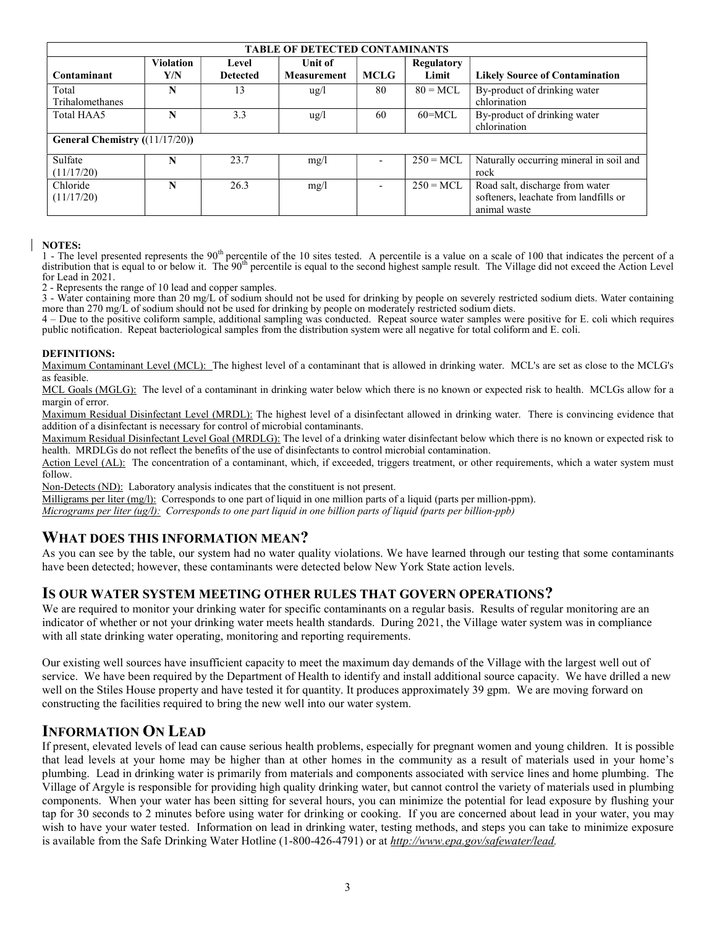| <b>TABLE OF DETECTED CONTAMINANTS</b> |                         |                          |                                      |             |                     |                                                                                          |  |  |  |  |
|---------------------------------------|-------------------------|--------------------------|--------------------------------------|-------------|---------------------|------------------------------------------------------------------------------------------|--|--|--|--|
| Contaminant                           | <b>Violation</b><br>Y/N | Level<br><b>Detected</b> | <b>Unit of</b><br><b>Measurement</b> | <b>MCLG</b> | Regulatory<br>Limit | <b>Likely Source of Contamination</b>                                                    |  |  |  |  |
| Total<br>Trihalomethanes              | N                       | 13                       | $\frac{u g}{l}$                      | 80          | $80 = MCL$          | By-product of drinking water<br>chlorination                                             |  |  |  |  |
| Total HAA5                            | N                       | 3.3                      | $\frac{u g}{l}$                      | 60          | $60 = MCL$          | By-product of drinking water<br>chlorination                                             |  |  |  |  |
| General Chemistry ((11/17/20))        |                         |                          |                                      |             |                     |                                                                                          |  |  |  |  |
| Sulfate<br>(11/17/20)                 | N                       | 23.7                     | mg/l                                 |             | $250 = MCL$         | Naturally occurring mineral in soil and<br>rock                                          |  |  |  |  |
| Chloride<br>(11/17/20)                | N                       | 26.3                     | mg/l                                 |             | $250 = MCL$         | Road salt, discharge from water<br>softeners, leachate from landfills or<br>animal waste |  |  |  |  |

#### NOTES:

1 - The level presented represents the 90<sup>th</sup> percentile of the 10 sites tested. A percentile is a value on a scale of 100 that indicates the percent of a distribution that is equal to or below it. The  $90<sup>th</sup>$  percentile is equal to the second highest sample result. The Village did not exceed the Action Level for Lead in 2021.

2 - Represents the range of 10 lead and copper samples.

3 - Water containing more than 20 mg/L of sodium should not be used for drinking by people on severely restricted sodium diets. Water containing more than 270 mg/L of sodium should not be used for drinking by people on moderately restricted sodium diets.

4 – Due to the positive coliform sample, additional sampling was conducted. Repeat source water samples were positive for E. coli which requires public notification. Repeat bacteriological samples from the distribution system were all negative for total coliform and E. coli.

#### DEFINITIONS:

Maximum Contaminant Level (MCL): The highest level of a contaminant that is allowed in drinking water. MCL's are set as close to the MCLG's as feasible.

MCL Goals (MGLG): The level of a contaminant in drinking water below which there is no known or expected risk to health. MCLGs allow for a margin of error.

Maximum Residual Disinfectant Level (MRDL): The highest level of a disinfectant allowed in drinking water. There is convincing evidence that addition of a disinfectant is necessary for control of microbial contaminants.

Maximum Residual Disinfectant Level Goal (MRDLG): The level of a drinking water disinfectant below which there is no known or expected risk to health. MRDLGs do not reflect the benefits of the use of disinfectants to control microbial contamination.

Action Level (AL): The concentration of a contaminant, which, if exceeded, triggers treatment, or other requirements, which a water system must follow.

Non-Detects (ND): Laboratory analysis indicates that the constituent is not present.

Milligrams per liter (mg/l): Corresponds to one part of liquid in one million parts of a liquid (parts per million-ppm).

Micrograms per liter (ug/l): Corresponds to one part liquid in one billion parts of liquid (parts per billion-ppb)

### WHAT DOES THIS INFORMATION MEAN?

As you can see by the table, our system had no water quality violations. We have learned through our testing that some contaminants have been detected; however, these contaminants were detected below New York State action levels.

### IS OUR WATER SYSTEM MEETING OTHER RULES THAT GOVERN OPERATIONS?

We are required to monitor your drinking water for specific contaminants on a regular basis. Results of regular monitoring are an indicator of whether or not your drinking water meets health standards. During 2021, the Village water system was in compliance with all state drinking water operating, monitoring and reporting requirements.

Our existing well sources have insufficient capacity to meet the maximum day demands of the Village with the largest well out of service. We have been required by the Department of Health to identify and install additional source capacity. We have drilled a new well on the Stiles House property and have tested it for quantity. It produces approximately 39 gpm. We are moving forward on constructing the facilities required to bring the new well into our water system.

### INFORMATION ON LEAD

If present, elevated levels of lead can cause serious health problems, especially for pregnant women and young children. It is possible that lead levels at your home may be higher than at other homes in the community as a result of materials used in your home's plumbing. Lead in drinking water is primarily from materials and components associated with service lines and home plumbing. The Village of Argyle is responsible for providing high quality drinking water, but cannot control the variety of materials used in plumbing components. When your water has been sitting for several hours, you can minimize the potential for lead exposure by flushing your tap for 30 seconds to 2 minutes before using water for drinking or cooking. If you are concerned about lead in your water, you may wish to have your water tested. Information on lead in drinking water, testing methods, and steps you can take to minimize exposure is available from the Safe Drinking Water Hotline (1-800-426-4791) or at http://www.epa.gov/safewater/lead.